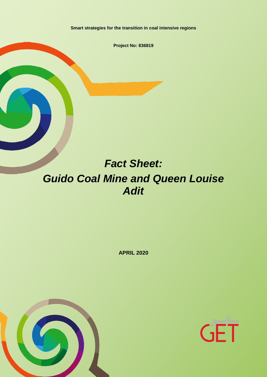**Smart strategies for the transition in coal intensive regions**

**Project No: 836819**

# *Fact Sheet: Guido Coal Mine and Queen Louise Adit*

**APRIL 2020**



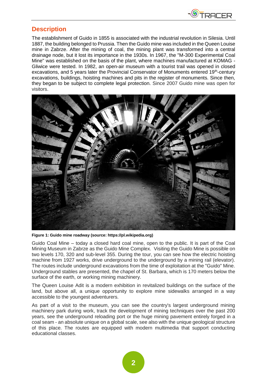

## **Description**

The establishment of Guido in 1855 is associated with the industrial revolution in Silesia. Until 1887, the building belonged to Prussia. Then the Guido mine was included in the Queen Louise mine in Zabrze. After the mining of coal, the mining plant was transformed into a central drainage node, but it lost its importance in the 1930s. In 1967, the "M-300 Experimental Coal Mine" was established on the basis of the plant, where machines manufactured at KOMAG - Gliwice were tested. In 1982, an open-air museum with a tourist trail was opened in closed excavations, and 5 years later the Provincial Conservator of Monuments entered 19<sup>th</sup>-century excavations, buildings, hoisting machines and pits in the register of monuments. Since then, they began to be subject to complete legal protection. Since 2007 Guido mine was open for visitors.



**Figure 1: Guido mine roadway (source: https://pl.wikipedia.org)**

Guido Coal Mine – today a closed hard coal mine, open to the public. It is part of the Coal Mining Museum in Zabrze as the Guido Mine Complex. Visiting the Guido Mine is possible on two levels 170, 320 and sub-level 355. During the tour, you can see how the electric hoisting machine from 1927 works, drive underground to the underground by a mining rail (elevator). The routes include underground excavations from the time of exploitation at the "Guido" Mine. Underground stables are presented, the chapel of St. Barbara, which is 170 meters below the surface of the earth, or working mining machinery.

The Queen Louise Adit is a modern exhibition in revitalized buildings on the surface of the land, but above all, a unique opportunity to explore mine sidewalks arranged in a way accessible to the youngest adventurers.

As part of a visit to the museum, you can see the country's largest underground mining machinery park during work, track the development of mining techniques over the past 200 years, see the underground reloading port or the huge mining pavement entirely forged in a coal seam - an absolute unique on a global scale, see also with the unique geological structure of this place. The routes are equipped with modern multimedia that support conducting educational classes.

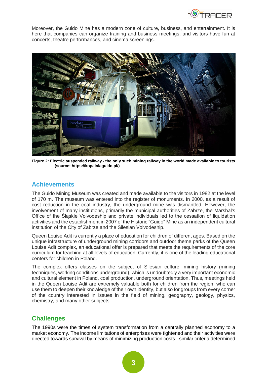

Moreover, the Guido Mine has a modern zone of culture, business, and entertainment. It is here that companies can organize training and business meetings, and visitors have fun at concerts, theatre performances, and cinema screenings.



**Figure 2: Electric suspended railway - the only such mining railway in the world made available to tourists (source: https://kopalniaguido.pl/)**

#### **Achievements**

The Guido Mining Museum was created and made available to the visitors in 1982 at the level of 170 m. The museum was entered into the register of monuments. In 2000, as a result of cost reduction in the coal industry, the underground mine was dismantled. However, the involvement of many institutions, primarily the municipal authorities of Zabrze, the Marshal's Office of the Śląskie Voivodeship and private individuals led to the cessation of liquidation activities and the establishment in 2007 of the Historic "Guido" Mine as an independent cultural institution of the City of Zabrze and the Silesian Voivodeship.

Queen Louise Adit is currently a place of education for children of different ages. Based on the unique infrastructure of underground mining corridors and outdoor theme parks of the Queen Louise Adit complex, an educational offer is prepared that meets the requirements of the core curriculum for teaching at all levels of education. Currently, it is one of the leading educational centers for children in Poland.

The complex offers classes on the subject of Silesian culture, mining history (mining techniques, working conditions underground), which is undoubtedly a very important economic and cultural element in Poland, coal production, underground orientation. Thus, meetings held in the Queen Louise Adit are extremely valuable both for children from the region, who can use them to deepen their knowledge of their own identity, but also for groups from every corner of the country interested in issues in the field of mining, geography, geology, physics, chemistry, and many other subjects.

#### **Challenges**

The 1990s were the times of system transformation from a centrally planned economy to a market economy. The income limitations of enterprises were tightened and their activities were directed towards survival by means of minimizing production costs - similar criteria determined

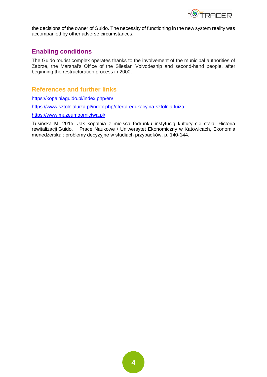

the decisions of the owner of Guido. The necessity of functioning in the new system reality was accompanied by other adverse circumstances.

## **Enabling conditions**

The Guido tourist complex operates thanks to the involvement of the municipal authorities of Zabrze, the Marshal's Office of the Silesian Voivodeship and second-hand people, after beginning the restructuration process in 2000.

## **References and further links**

<https://kopalniaguido.pl/index.php/en/>

<https://www.sztolnialuiza.pl/index.php/oferta-edukacyjna-sztolnia-luiza>

<https://www.muzeumgornictwa.pl/>

Tusińska M. 2015. Jak kopalnia z miejsca fedrunku instytucją kultury się stała. Historia rewitalizacji Guido. Prace Naukowe / Uniwersytet Ekonomiczny w Katowicach, Ekonomia menedżerska : problemy decyzyjne w studiach przypadków, p. 140-144.